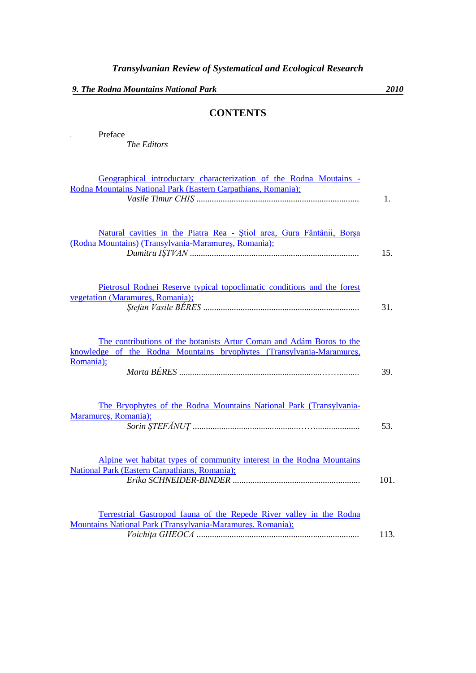*The Editors*

**I** Preface

## **CONTENTS**

| Geographical introductary characterization of the Rodna Moutains -<br>Rodna Mountains National Park (Eastern Carpathians, Romania);                       | 1.   |
|-----------------------------------------------------------------------------------------------------------------------------------------------------------|------|
| Natural cavities in the Piatra Rea - Stiol area, Gura Fântânii, Borșa<br>(Rodna Mountains) (Transylvania-Maramureș, Romania);                             | 15.  |
| Pietrosul Rodnei Reserve typical topoclimatic conditions and the forest<br>vegetation (Maramures, Romania);                                               | 31.  |
| The contributions of the botanists Artur Coman and Adám Boros to the<br>knowledge of the Rodna Mountains bryophytes (Transylvania-Maramures,<br>Romania); | 39.  |
| The Bryophytes of the Rodna Mountains National Park (Transylvania-<br>Maramureș, Romania);                                                                | 53.  |
| Alpine wet habitat types of community interest in the Rodna Mountains<br><b>National Park (Eastern Carpathians, Romania);</b>                             | 101. |
| Terrestrial Gastropod fauna of the Repede River valley in the Rodna<br>Mountains National Park (Transylvania-Maramures, Romania);                         | 113. |